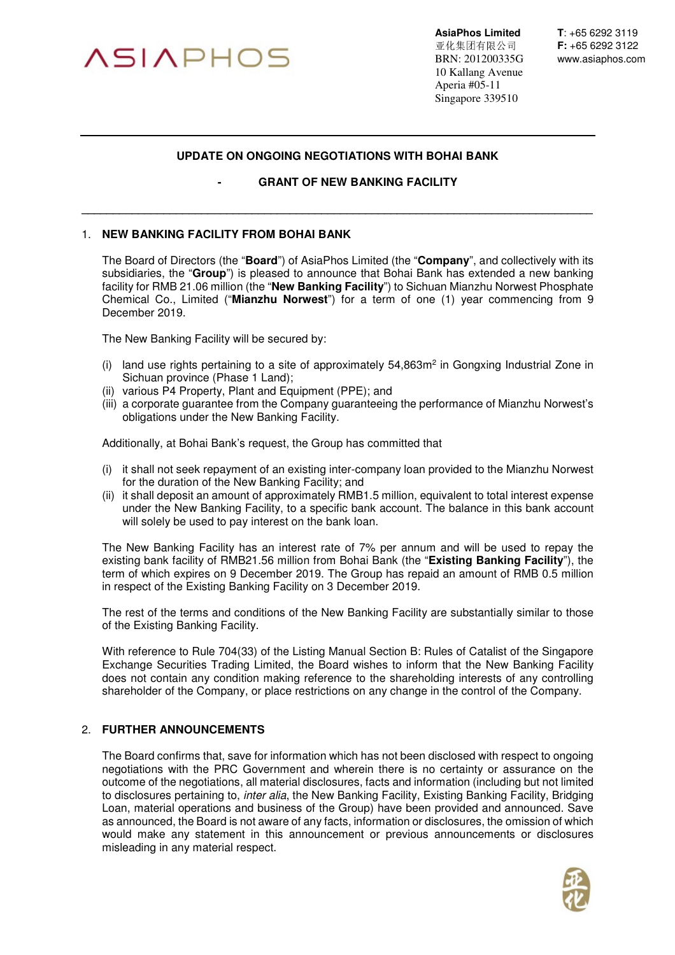

**AsiaPhos Limited T**: +65 6292 3119<br>亚化集团有限公司 F: +65 6292 3122 亚化集团有限公司 **F:** +65 6292 3122 BRN: 201200335G www.asiaphos.com 10 Kallang Avenue Aperia #05-11 Singapore 339510

## **UPDATE ON ONGOING NEGOTIATIONS WITH BOHAI BANK**

**\_\_\_\_\_\_\_\_\_\_\_\_\_\_\_\_\_\_\_\_\_\_\_\_\_\_\_\_\_\_\_\_\_\_\_\_\_\_\_\_\_\_\_\_\_\_\_\_\_\_\_\_\_\_\_\_\_\_\_\_\_\_\_\_\_\_\_\_\_\_\_\_\_\_\_\_\_\_\_\_\_** 

## **GRANT OF NEW BANKING FACILITY**

## 1. **NEW BANKING FACILITY FROM BOHAI BANK**

The Board of Directors (the "**Board**") of AsiaPhos Limited (the "**Company**", and collectively with its subsidiaries, the "**Group**") is pleased to announce that Bohai Bank has extended a new banking facility for RMB 21.06 million (the "**New Banking Facility**") to Sichuan Mianzhu Norwest Phosphate Chemical Co., Limited ("**Mianzhu Norwest**") for a term of one (1) year commencing from 9 December 2019.

The New Banking Facility will be secured by:

- (i) land use rights pertaining to a site of approximately  $54,863m^2$  in Gongxing Industrial Zone in Sichuan province (Phase 1 Land);
- (ii) various P4 Property, Plant and Equipment (PPE); and
- (iii) a corporate guarantee from the Company guaranteeing the performance of Mianzhu Norwest's obligations under the New Banking Facility.

Additionally, at Bohai Bank's request, the Group has committed that

- (i) it shall not seek repayment of an existing inter-company loan provided to the Mianzhu Norwest for the duration of the New Banking Facility; and
- (ii) it shall deposit an amount of approximately RMB1.5 million, equivalent to total interest expense under the New Banking Facility, to a specific bank account. The balance in this bank account will solely be used to pay interest on the bank loan.

The New Banking Facility has an interest rate of 7% per annum and will be used to repay the existing bank facility of RMB21.56 million from Bohai Bank (the "**Existing Banking Facility**"), the term of which expires on 9 December 2019. The Group has repaid an amount of RMB 0.5 million in respect of the Existing Banking Facility on 3 December 2019.

The rest of the terms and conditions of the New Banking Facility are substantially similar to those of the Existing Banking Facility.

With reference to Rule 704(33) of the Listing Manual Section B: Rules of Catalist of the Singapore Exchange Securities Trading Limited, the Board wishes to inform that the New Banking Facility does not contain any condition making reference to the shareholding interests of any controlling shareholder of the Company, or place restrictions on any change in the control of the Company.

## 2. **FURTHER ANNOUNCEMENTS**

The Board confirms that, save for information which has not been disclosed with respect to ongoing negotiations with the PRC Government and wherein there is no certainty or assurance on the outcome of the negotiations, all material disclosures, facts and information (including but not limited to disclosures pertaining to, *inter alia*, the New Banking Facility, Existing Banking Facility, Bridging Loan, material operations and business of the Group) have been provided and announced. Save as announced, the Board is not aware of any facts, information or disclosures, the omission of which would make any statement in this announcement or previous announcements or disclosures misleading in any material respect.